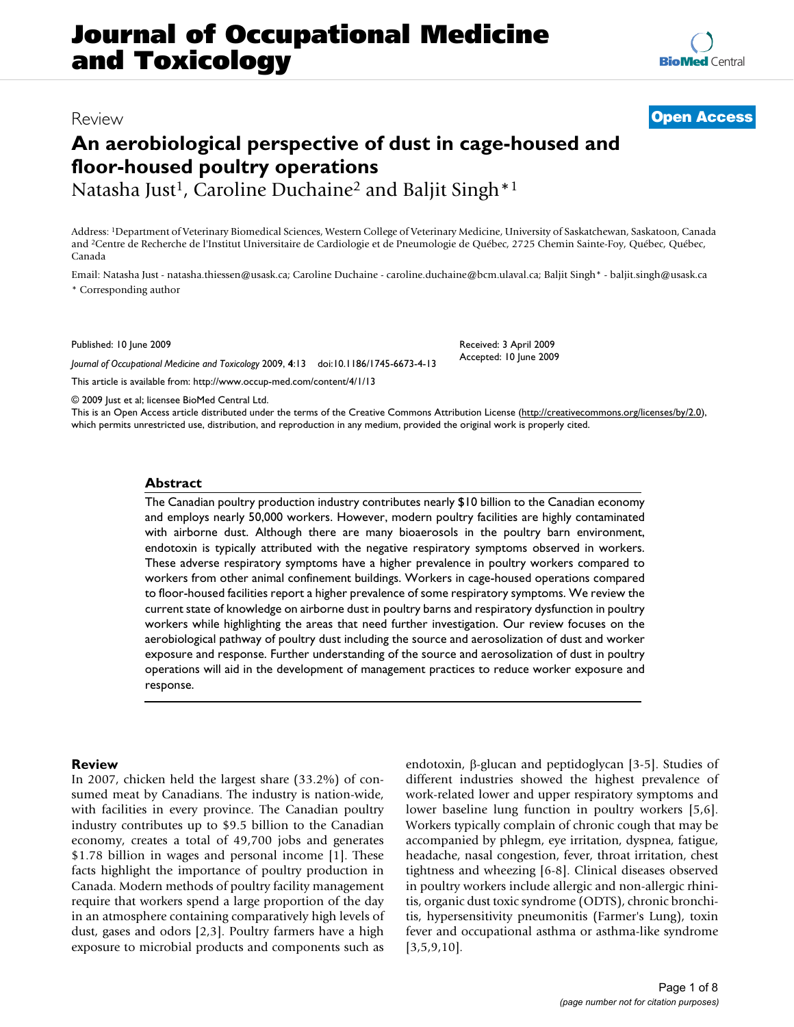# **Journal of Occupational Medicine and Toxicology**

## Review **[Open Access](http://www.biomedcentral.com/info/about/charter/)**

# **An aerobiological perspective of dust in cage-housed and floor-housed poultry operations**

Natasha Just<sup>1</sup>, Caroline Duchaine<sup>2</sup> and Baljit Singh<sup>\*1</sup>

Address: 1Department of Veterinary Biomedical Sciences, Western College of Veterinary Medicine, University of Saskatchewan, Saskatoon, Canada and 2Centre de Recherche de l'Institut Universitaire de Cardiologie et de Pneumologie de Québec, 2725 Chemin Sainte-Foy, Québec, Québec, Canada

Email: Natasha Just - natasha.thiessen@usask.ca; Caroline Duchaine - caroline.duchaine@bcm.ulaval.ca; Baljit Singh\* - baljit.singh@usask.ca \* Corresponding author

Published: 10 June 2009

*Journal of Occupational Medicine and Toxicology* 2009, **4**:13 doi:10.1186/1745-6673-4-13

[This article is available from: http://www.occup-med.com/content/4/1/13](http://www.occup-med.com/content/4/1/13)

© 2009 Just et al; licensee BioMed Central Ltd.

This is an Open Access article distributed under the terms of the Creative Commons Attribution License [\(http://creativecommons.org/licenses/by/2.0\)](http://creativecommons.org/licenses/by/2.0), which permits unrestricted use, distribution, and reproduction in any medium, provided the original work is properly cited.

#### **Abstract**

The Canadian poultry production industry contributes nearly \$10 billion to the Canadian economy and employs nearly 50,000 workers. However, modern poultry facilities are highly contaminated with airborne dust. Although there are many bioaerosols in the poultry barn environment, endotoxin is typically attributed with the negative respiratory symptoms observed in workers. These adverse respiratory symptoms have a higher prevalence in poultry workers compared to workers from other animal confinement buildings. Workers in cage-housed operations compared to floor-housed facilities report a higher prevalence of some respiratory symptoms. We review the current state of knowledge on airborne dust in poultry barns and respiratory dysfunction in poultry workers while highlighting the areas that need further investigation. Our review focuses on the aerobiological pathway of poultry dust including the source and aerosolization of dust and worker exposure and response. Further understanding of the source and aerosolization of dust in poultry operations will aid in the development of management practices to reduce worker exposure and response.

#### **Review**

In 2007, chicken held the largest share (33.2%) of consumed meat by Canadians. The industry is nation-wide, with facilities in every province. The Canadian poultry industry contributes up to \$9.5 billion to the Canadian economy, creates a total of 49,700 jobs and generates \$1.78 billion in wages and personal income [[1](#page-7-0)]. These facts highlight the importance of poultry production in Canada. Modern methods of poultry facility management require that workers spend a large proportion of the day in an atmosphere containing comparatively high levels of dust, gases and odors [\[2](#page-7-1)[,3](#page-7-2)]. Poultry farmers have a high exposure to microbial products and components such as endotoxin, β-glucan and peptidoglycan [\[3-](#page-7-2)[5](#page-7-3)]. Studies of different industries showed the highest prevalence of work-related lower and upper respiratory symptoms and lower baseline lung function in poultry workers [[5](#page-7-3),[6](#page-7-4)]. Workers typically complain of chronic cough that may be accompanied by phlegm, eye irritation, dyspnea, fatigue, headache, nasal congestion, fever, throat irritation, chest tightness and wheezing [[6](#page-7-4)[-8\]](#page-7-5). Clinical diseases observed in poultry workers include allergic and non-allergic rhinitis, organic dust toxic syndrome (ODTS), chronic bronchitis, hypersensitivity pneumonitis (Farmer's Lung), toxin fever and occupational asthma or asthma-like syndrome  $[3,5,9,10]$  $[3,5,9,10]$  $[3,5,9,10]$  $[3,5,9,10]$  $[3,5,9,10]$  $[3,5,9,10]$ .

Received: 3 April 2009 Accepted: 10 June 2009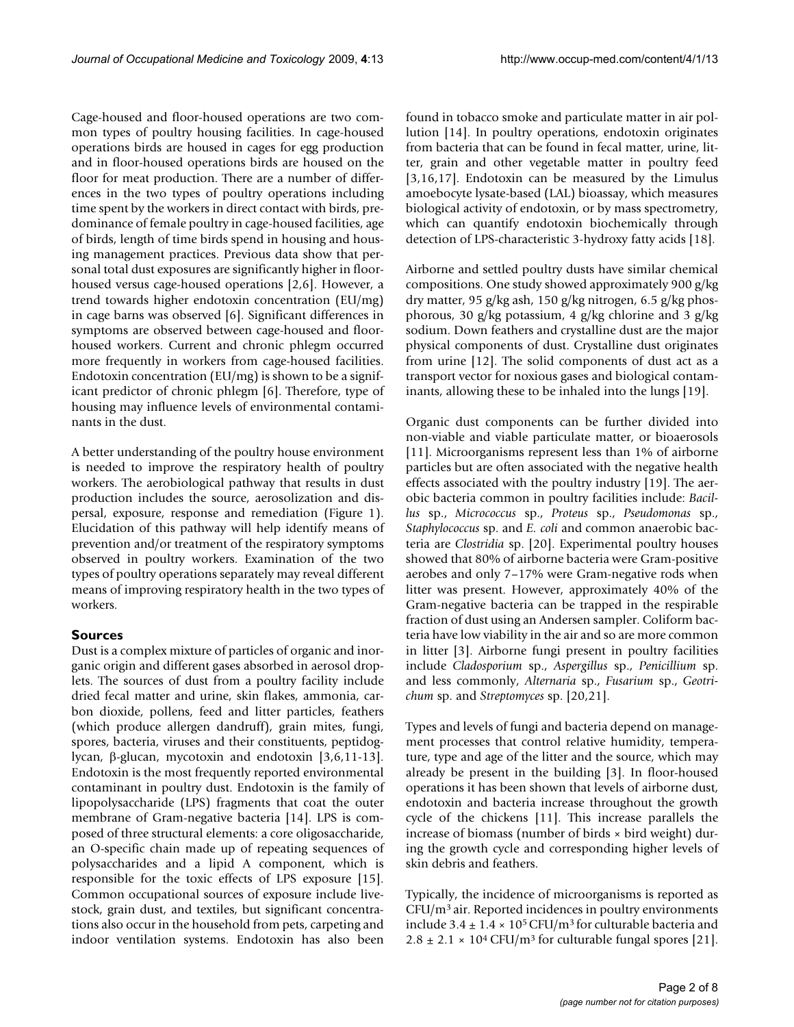Cage-housed and floor-housed operations are two common types of poultry housing facilities. In cage-housed operations birds are housed in cages for egg production and in floor-housed operations birds are housed on the floor for meat production. There are a number of differences in the two types of poultry operations including time spent by the workers in direct contact with birds, predominance of female poultry in cage-housed facilities, age of birds, length of time birds spend in housing and housing management practices. Previous data show that personal total dust exposures are significantly higher in floorhoused versus cage-housed operations [\[2,](#page-7-1)[6\]](#page-7-4). However, a trend towards higher endotoxin concentration (EU/mg) in cage barns was observed [\[6](#page-7-4)]. Significant differences in symptoms are observed between cage-housed and floorhoused workers. Current and chronic phlegm occurred more frequently in workers from cage-housed facilities. Endotoxin concentration (EU/mg) is shown to be a significant predictor of chronic phlegm [[6](#page-7-4)]. Therefore, type of housing may influence levels of environmental contaminants in the dust.

A better understanding of the poultry house environment is needed to improve the respiratory health of poultry workers. The aerobiological pathway that results in dust production includes the source, aerosolization and dispersal, exposure, response and remediation (Figure [1\)](#page-2-0). Elucidation of this pathway will help identify means of prevention and/or treatment of the respiratory symptoms observed in poultry workers. Examination of the two types of poultry operations separately may reveal different means of improving respiratory health in the two types of workers.

### **Sources**

Dust is a complex mixture of particles of organic and inorganic origin and different gases absorbed in aerosol droplets. The sources of dust from a poultry facility include dried fecal matter and urine, skin flakes, ammonia, carbon dioxide, pollens, feed and litter particles, feathers (which produce allergen dandruff), grain mites, fungi, spores, bacteria, viruses and their constituents, peptidoglycan, β-glucan, mycotoxin and endotoxin [[3](#page-7-2)[,6](#page-7-4)[,11](#page-7-8)[-13](#page-7-9)]. Endotoxin is the most frequently reported environmental contaminant in poultry dust. Endotoxin is the family of lipopolysaccharide (LPS) fragments that coat the outer membrane of Gram-negative bacteria [[14\]](#page-7-10). LPS is composed of three structural elements: a core oligosaccharide, an O-specific chain made up of repeating sequences of polysaccharides and a lipid A component, which is responsible for the toxic effects of LPS exposure [\[15](#page-7-11)]. Common occupational sources of exposure include livestock, grain dust, and textiles, but significant concentrations also occur in the household from pets, carpeting and indoor ventilation systems. Endotoxin has also been

found in tobacco smoke and particulate matter in air pollution [\[14](#page-7-10)]. In poultry operations, endotoxin originates from bacteria that can be found in fecal matter, urine, litter, grain and other vegetable matter in poultry feed [[3](#page-7-2)[,16](#page-7-12),[17\]](#page-7-13). Endotoxin can be measured by the Limulus amoebocyte lysate-based (LAL) bioassay, which measures biological activity of endotoxin, or by mass spectrometry, which can quantify endotoxin biochemically through detection of LPS-characteristic 3-hydroxy fatty acids [[18\]](#page-7-14).

Airborne and settled poultry dusts have similar chemical compositions. One study showed approximately 900 g/kg dry matter, 95 g/kg ash, 150 g/kg nitrogen, 6.5 g/kg phosphorous, 30 g/kg potassium, 4 g/kg chlorine and 3 g/kg sodium. Down feathers and crystalline dust are the major physical components of dust. Crystalline dust originates from urine [[12\]](#page-7-15). The solid components of dust act as a transport vector for noxious gases and biological contaminants, allowing these to be inhaled into the lungs [\[19\]](#page-7-16).

Organic dust components can be further divided into non-viable and viable particulate matter, or bioaerosols [[11](#page-7-8)]. Microorganisms represent less than 1% of airborne particles but are often associated with the negative health effects associated with the poultry industry [\[19](#page-7-16)]. The aerobic bacteria common in poultry facilities include: *Bacillus* sp., *Micrococcus* sp., *Proteus* sp., *Pseudomonas* sp., *Staphylococcus* sp. and *E. coli* and common anaerobic bacteria are *Clostridia* sp. [\[20](#page-7-17)]. Experimental poultry houses showed that 80% of airborne bacteria were Gram-positive aerobes and only 7–17% were Gram-negative rods when litter was present. However, approximately 40% of the Gram-negative bacteria can be trapped in the respirable fraction of dust using an Andersen sampler. Coliform bacteria have low viability in the air and so are more common in litter [\[3\]](#page-7-2). Airborne fungi present in poultry facilities include *Cladosporium* sp., *Aspergillus* sp., *Penicillium* sp. and less commonly, *Alternaria* sp., *Fusarium* sp., *Geotrichum* sp. and *Streptomyces* sp. [\[20](#page-7-17),[21\]](#page-7-18).

Types and levels of fungi and bacteria depend on management processes that control relative humidity, temperature, type and age of the litter and the source, which may already be present in the building [[3](#page-7-2)]. In floor-housed operations it has been shown that levels of airborne dust, endotoxin and bacteria increase throughout the growth cycle of the chickens [\[11\]](#page-7-8). This increase parallels the increase of biomass (number of birds × bird weight) during the growth cycle and corresponding higher levels of skin debris and feathers.

Typically, the incidence of microorganisms is reported as  $CFU/m<sup>3</sup>$  air. Reported incidences in poultry environments include  $3.4 \pm 1.4 \times 10^5$  CFU/m<sup>3</sup> for culturable bacteria and  $2.8 \pm 2.1 \times 10^4$  CFU/m<sup>3</sup> for culturable fungal spores [\[21](#page-7-18)].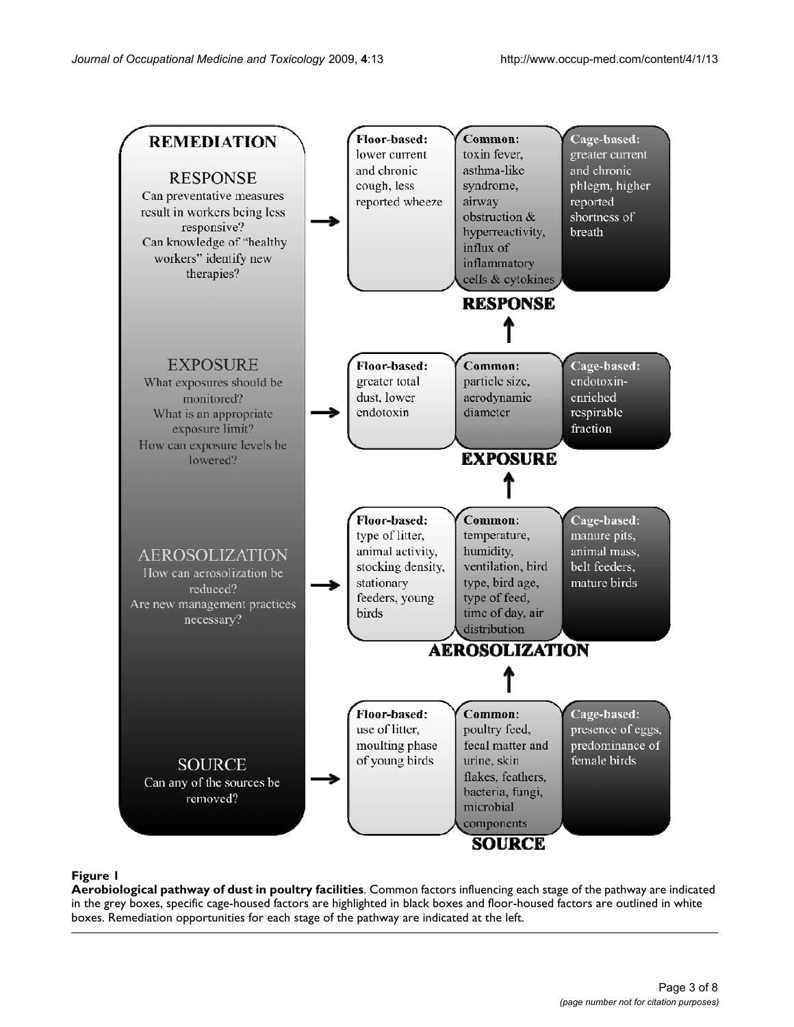#### <span id="page-2-0"></span>Figure 1

**Aerobiological pathway of dust in poultry facilities**. Common factors influencing each stage of the pathway are indicated in the grey boxes, specific cage-housed factors are highlighted in black boxes and floor-housed factors are outlined in white boxes. Remediation opportunities for each stage of the pathway are indicated at the left.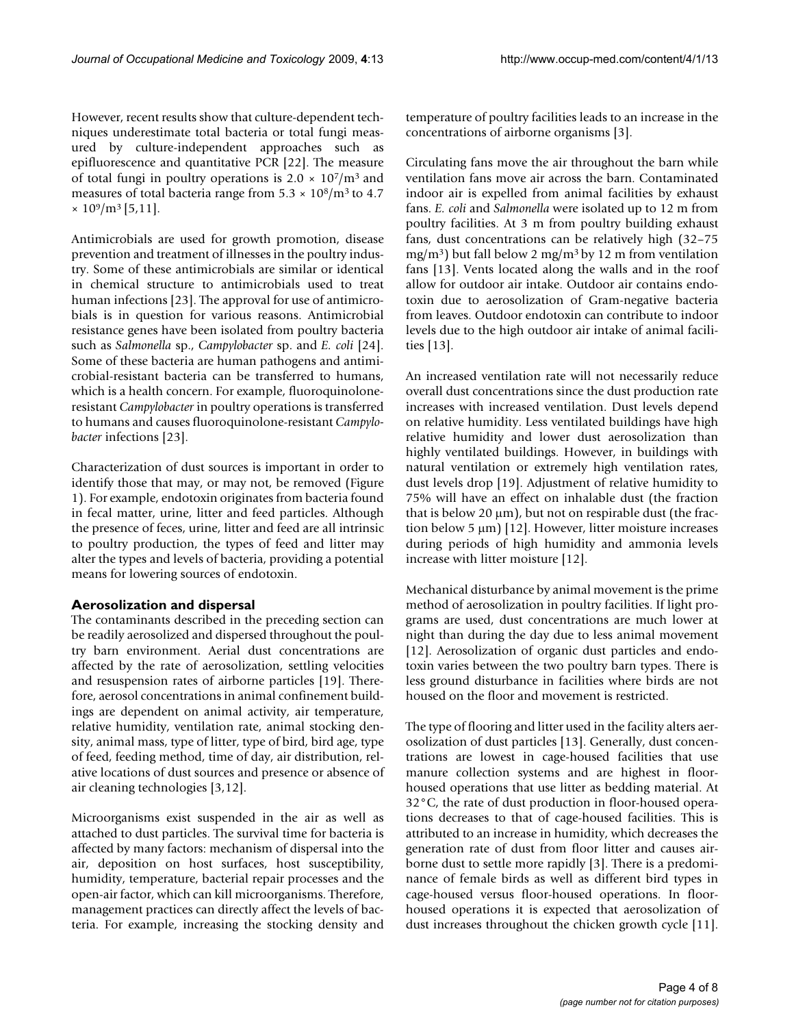However, recent results show that culture-dependent techniques underestimate total bacteria or total fungi measured by culture-independent approaches such as epifluorescence and quantitative PCR [[22\]](#page-7-19). The measure of total fungi in poultry operations is  $2.0 \times 10^7$ /m<sup>3</sup> and measures of total bacteria range from  $5.3 \times 10^8/\text{m}^3$  to 4.7  $\times 10^9$ /m<sup>3</sup> [[5](#page-7-3),[11\]](#page-7-8).

Antimicrobials are used for growth promotion, disease prevention and treatment of illnesses in the poultry industry. Some of these antimicrobials are similar or identical in chemical structure to antimicrobials used to treat human infections [[23\]](#page-7-20). The approval for use of antimicrobials is in question for various reasons. Antimicrobial resistance genes have been isolated from poultry bacteria such as *Salmonella* sp., *Campylobacter* sp. and *E. coli* [\[24](#page-7-21)]. Some of these bacteria are human pathogens and antimicrobial-resistant bacteria can be transferred to humans, which is a health concern. For example, fluoroquinoloneresistant *Campylobacter* in poultry operations is transferred to humans and causes fluoroquinolone-resistant *Campylobacter* infections [[23](#page-7-20)].

Characterization of dust sources is important in order to identify those that may, or may not, be removed (Figure [1\)](#page-2-0). For example, endotoxin originates from bacteria found in fecal matter, urine, litter and feed particles. Although the presence of feces, urine, litter and feed are all intrinsic to poultry production, the types of feed and litter may alter the types and levels of bacteria, providing a potential means for lowering sources of endotoxin.

### **Aerosolization and dispersal**

The contaminants described in the preceding section can be readily aerosolized and dispersed throughout the poultry barn environment. Aerial dust concentrations are affected by the rate of aerosolization, settling velocities and resuspension rates of airborne particles [\[19](#page-7-16)]. Therefore, aerosol concentrations in animal confinement buildings are dependent on animal activity, air temperature, relative humidity, ventilation rate, animal stocking density, animal mass, type of litter, type of bird, bird age, type of feed, feeding method, time of day, air distribution, relative locations of dust sources and presence or absence of air cleaning technologies [[3](#page-7-2),[12](#page-7-15)].

Microorganisms exist suspended in the air as well as attached to dust particles. The survival time for bacteria is affected by many factors: mechanism of dispersal into the air, deposition on host surfaces, host susceptibility, humidity, temperature, bacterial repair processes and the open-air factor, which can kill microorganisms. Therefore, management practices can directly affect the levels of bacteria. For example, increasing the stocking density and temperature of poultry facilities leads to an increase in the concentrations of airborne organisms [[3](#page-7-2)].

Circulating fans move the air throughout the barn while ventilation fans move air across the barn. Contaminated indoor air is expelled from animal facilities by exhaust fans. *E. coli* and *Salmonella* were isolated up to 12 m from poultry facilities. At 3 m from poultry building exhaust fans, dust concentrations can be relatively high (32–75 mg/m<sup>3</sup>) but fall below 2 mg/m<sup>3</sup> by 12 m from ventilation fans [\[13](#page-7-9)]. Vents located along the walls and in the roof allow for outdoor air intake. Outdoor air contains endotoxin due to aerosolization of Gram-negative bacteria from leaves. Outdoor endotoxin can contribute to indoor levels due to the high outdoor air intake of animal facilities [\[13](#page-7-9)].

An increased ventilation rate will not necessarily reduce overall dust concentrations since the dust production rate increases with increased ventilation. Dust levels depend on relative humidity. Less ventilated buildings have high relative humidity and lower dust aerosolization than highly ventilated buildings. However, in buildings with natural ventilation or extremely high ventilation rates, dust levels drop [[19\]](#page-7-16). Adjustment of relative humidity to 75% will have an effect on inhalable dust (the fraction that is below 20  $\mu$ m), but not on respirable dust (the fraction below 5 μm) [[12\]](#page-7-15). However, litter moisture increases during periods of high humidity and ammonia levels increase with litter moisture [[12](#page-7-15)].

Mechanical disturbance by animal movement is the prime method of aerosolization in poultry facilities. If light programs are used, dust concentrations are much lower at night than during the day due to less animal movement [[12](#page-7-15)]. Aerosolization of organic dust particles and endotoxin varies between the two poultry barn types. There is less ground disturbance in facilities where birds are not housed on the floor and movement is restricted.

The type of flooring and litter used in the facility alters aerosolization of dust particles [[13](#page-7-9)]. Generally, dust concentrations are lowest in cage-housed facilities that use manure collection systems and are highest in floorhoused operations that use litter as bedding material. At 32°C, the rate of dust production in floor-housed operations decreases to that of cage-housed facilities. This is attributed to an increase in humidity, which decreases the generation rate of dust from floor litter and causes airborne dust to settle more rapidly [[3](#page-7-2)]. There is a predominance of female birds as well as different bird types in cage-housed versus floor-housed operations. In floorhoused operations it is expected that aerosolization of dust increases throughout the chicken growth cycle [\[11](#page-7-8)].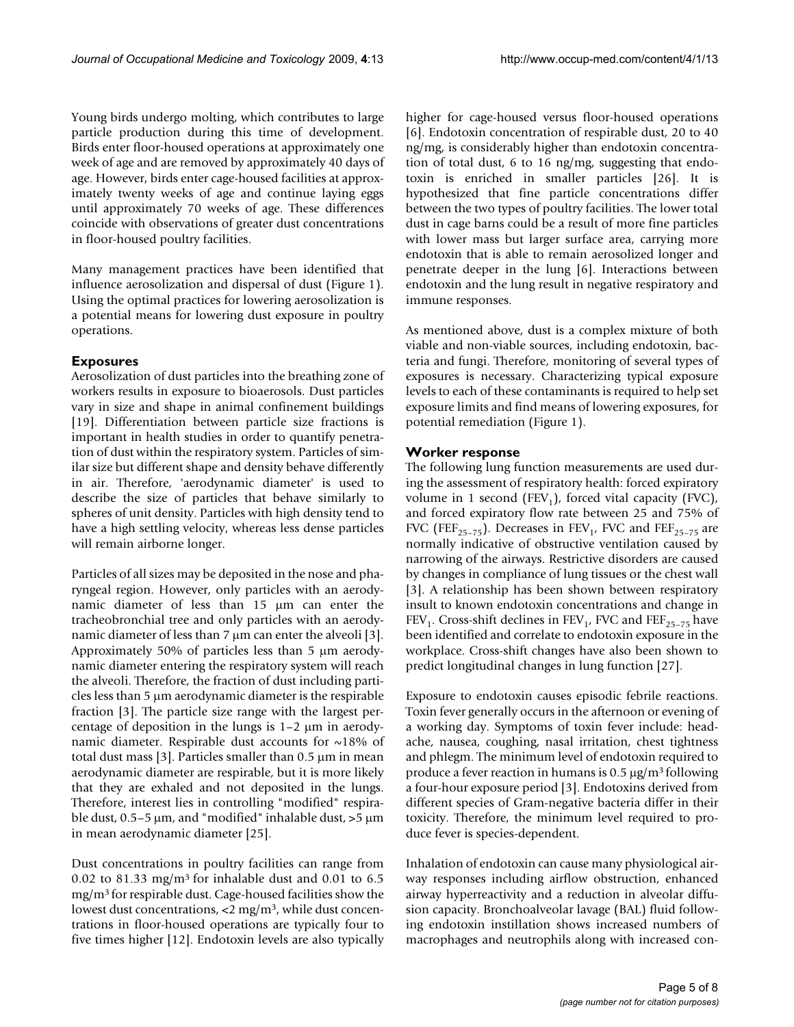Young birds undergo molting, which contributes to large particle production during this time of development. Birds enter floor-housed operations at approximately one week of age and are removed by approximately 40 days of age. However, birds enter cage-housed facilities at approximately twenty weeks of age and continue laying eggs until approximately 70 weeks of age. These differences coincide with observations of greater dust concentrations in floor-housed poultry facilities.

Many management practices have been identified that influence aerosolization and dispersal of dust (Figure [1\)](#page-2-0). Using the optimal practices for lowering aerosolization is a potential means for lowering dust exposure in poultry operations.

## **Exposures**

Aerosolization of dust particles into the breathing zone of workers results in exposure to bioaerosols. Dust particles vary in size and shape in animal confinement buildings [[19](#page-7-16)]. Differentiation between particle size fractions is important in health studies in order to quantify penetration of dust within the respiratory system. Particles of similar size but different shape and density behave differently in air. Therefore, 'aerodynamic diameter' is used to describe the size of particles that behave similarly to spheres of unit density. Particles with high density tend to have a high settling velocity, whereas less dense particles will remain airborne longer.

Particles of all sizes may be deposited in the nose and pharyngeal region. However, only particles with an aerodynamic diameter of less than 15 μm can enter the tracheobronchial tree and only particles with an aerodynamic diameter of less than 7 μm can enter the alveoli [[3](#page-7-2)]. Approximately 50% of particles less than 5 μm aerodynamic diameter entering the respiratory system will reach the alveoli. Therefore, the fraction of dust including particles less than 5 μm aerodynamic diameter is the respirable fraction [[3](#page-7-2)]. The particle size range with the largest percentage of deposition in the lungs is 1–2 μm in aerodynamic diameter. Respirable dust accounts for ~18% of total dust mass [[3](#page-7-2)]. Particles smaller than 0.5 μm in mean aerodynamic diameter are respirable, but it is more likely that they are exhaled and not deposited in the lungs. Therefore, interest lies in controlling "modified" respirable dust,  $0.5-5 \mu m$ , and "modified" inhalable dust,  $>5 \mu m$ in mean aerodynamic diameter [[25\]](#page-7-22).

Dust concentrations in poultry facilities can range from 0.02 to 81.33 mg/m<sup>3</sup> for inhalable dust and 0.01 to 6.5 mg/m3 for respirable dust. Cage-housed facilities show the lowest dust concentrations,  $\langle 2 \rangle$  mg/m<sup>3</sup>, while dust concentrations in floor-housed operations are typically four to five times higher [\[12](#page-7-15)]. Endotoxin levels are also typically higher for cage-housed versus floor-housed operations [[6\]](#page-7-4). Endotoxin concentration of respirable dust, 20 to 40 ng/mg, is considerably higher than endotoxin concentration of total dust, 6 to 16 ng/mg, suggesting that endotoxin is enriched in smaller particles [\[26](#page-7-23)]. It is hypothesized that fine particle concentrations differ between the two types of poultry facilities. The lower total dust in cage barns could be a result of more fine particles with lower mass but larger surface area, carrying more endotoxin that is able to remain aerosolized longer and penetrate deeper in the lung [\[6\]](#page-7-4). Interactions between endotoxin and the lung result in negative respiratory and immune responses.

As mentioned above, dust is a complex mixture of both viable and non-viable sources, including endotoxin, bacteria and fungi. Therefore, monitoring of several types of exposures is necessary. Characterizing typical exposure levels to each of these contaminants is required to help set exposure limits and find means of lowering exposures, for potential remediation (Figure [1\)](#page-2-0).

## **Worker response**

The following lung function measurements are used during the assessment of respiratory health: forced expiratory volume in 1 second (FEV<sub>1</sub>), forced vital capacity (FVC), and forced expiratory flow rate between 25 and 75% of FVC (FEF<sub>25-75</sub>). Decreases in FEV<sub>1</sub>, FVC and FEF<sub>25-75</sub> are normally indicative of obstructive ventilation caused by narrowing of the airways. Restrictive disorders are caused by changes in compliance of lung tissues or the chest wall [[3\]](#page-7-2). A relationship has been shown between respiratory insult to known endotoxin concentrations and change in  $FEV<sub>1</sub>$ . Cross-shift declines in  $FEV<sub>1</sub>$ , FVC and  $FEF<sub>25-75</sub>$  have been identified and correlate to endotoxin exposure in the workplace. Cross-shift changes have also been shown to predict longitudinal changes in lung function [[27\]](#page-7-24).

Exposure to endotoxin causes episodic febrile reactions. Toxin fever generally occurs in the afternoon or evening of a working day. Symptoms of toxin fever include: headache, nausea, coughing, nasal irritation, chest tightness and phlegm. The minimum level of endotoxin required to produce a fever reaction in humans is  $0.5 \mu g/m^3$  following a four-hour exposure period [\[3\]](#page-7-2). Endotoxins derived from different species of Gram-negative bacteria differ in their toxicity. Therefore, the minimum level required to produce fever is species-dependent.

Inhalation of endotoxin can cause many physiological airway responses including airflow obstruction, enhanced airway hyperreactivity and a reduction in alveolar diffusion capacity. Bronchoalveolar lavage (BAL) fluid following endotoxin instillation shows increased numbers of macrophages and neutrophils along with increased con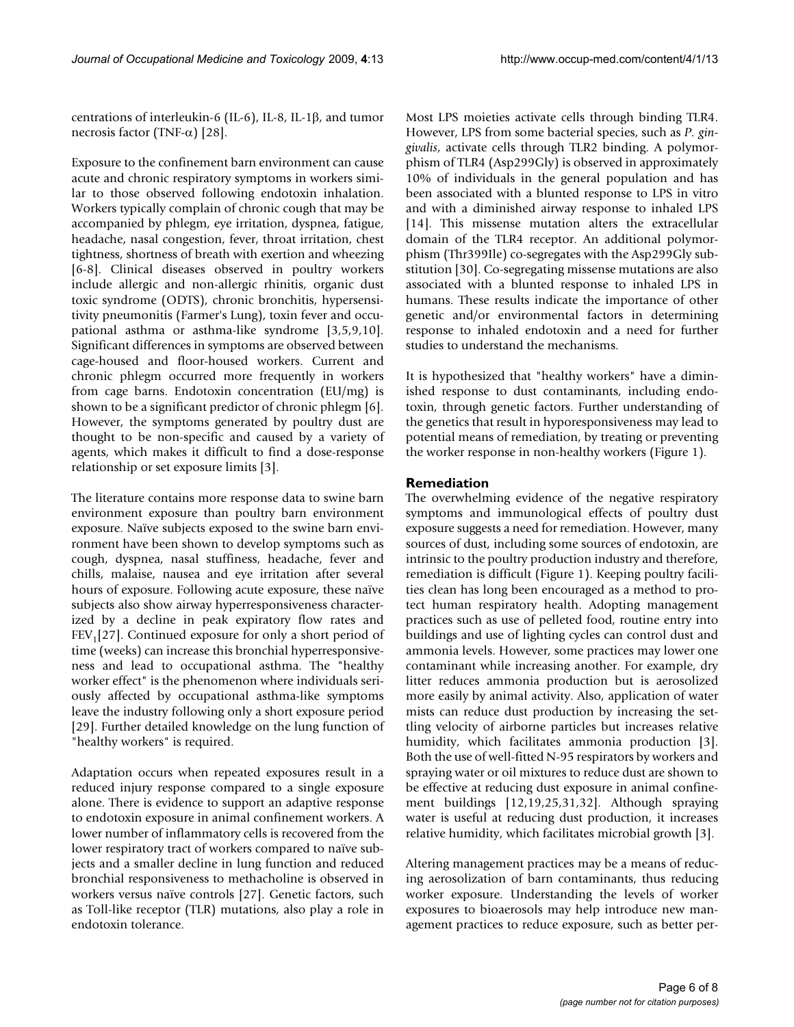centrations of interleukin-6 (IL-6), IL-8, IL-1β, and tumor necrosis factor (TNF- $\alpha$ ) [[28\]](#page-7-25).

Exposure to the confinement barn environment can cause acute and chronic respiratory symptoms in workers similar to those observed following endotoxin inhalation. Workers typically complain of chronic cough that may be accompanied by phlegm, eye irritation, dyspnea, fatigue, headache, nasal congestion, fever, throat irritation, chest tightness, shortness of breath with exertion and wheezing [[6-](#page-7-4)[8](#page-7-5)]. Clinical diseases observed in poultry workers include allergic and non-allergic rhinitis, organic dust toxic syndrome (ODTS), chronic bronchitis, hypersensitivity pneumonitis (Farmer's Lung), toxin fever and occupational asthma or asthma-like syndrome [\[3](#page-7-2)[,5](#page-7-3)[,9](#page-7-6)[,10](#page-7-7)]. Significant differences in symptoms are observed between cage-housed and floor-housed workers. Current and chronic phlegm occurred more frequently in workers from cage barns. Endotoxin concentration (EU/mg) is shown to be a significant predictor of chronic phlegm [[6](#page-7-4)]. However, the symptoms generated by poultry dust are thought to be non-specific and caused by a variety of agents, which makes it difficult to find a dose-response relationship or set exposure limits [\[3](#page-7-2)].

The literature contains more response data to swine barn environment exposure than poultry barn environment exposure. Naïve subjects exposed to the swine barn environment have been shown to develop symptoms such as cough, dyspnea, nasal stuffiness, headache, fever and chills, malaise, nausea and eye irritation after several hours of exposure. Following acute exposure, these naïve subjects also show airway hyperresponsiveness characterized by a decline in peak expiratory flow rates and  $FEV<sub>1</sub>[27]$  $FEV<sub>1</sub>[27]$  $FEV<sub>1</sub>[27]$ . Continued exposure for only a short period of time (weeks) can increase this bronchial hyperresponsiveness and lead to occupational asthma. The "healthy worker effect" is the phenomenon where individuals seriously affected by occupational asthma-like symptoms leave the industry following only a short exposure period [[29](#page-7-26)]. Further detailed knowledge on the lung function of "healthy workers" is required.

Adaptation occurs when repeated exposures result in a reduced injury response compared to a single exposure alone. There is evidence to support an adaptive response to endotoxin exposure in animal confinement workers. A lower number of inflammatory cells is recovered from the lower respiratory tract of workers compared to naïve subjects and a smaller decline in lung function and reduced bronchial responsiveness to methacholine is observed in workers versus naïve controls [[27](#page-7-24)]. Genetic factors, such as Toll-like receptor (TLR) mutations, also play a role in endotoxin tolerance.

Most LPS moieties activate cells through binding TLR4. However, LPS from some bacterial species, such as *P. gingivalis*, activate cells through TLR2 binding. A polymorphism of TLR4 (Asp299Gly) is observed in approximately 10% of individuals in the general population and has been associated with a blunted response to LPS in vitro and with a diminished airway response to inhaled LPS [[14](#page-7-10)]. This missense mutation alters the extracellular domain of the TLR4 receptor. An additional polymorphism (Thr399Ile) co-segregates with the Asp299Gly substitution [\[30](#page-7-27)]. Co-segregating missense mutations are also associated with a blunted response to inhaled LPS in humans. These results indicate the importance of other genetic and/or environmental factors in determining response to inhaled endotoxin and a need for further studies to understand the mechanisms.

It is hypothesized that "healthy workers" have a diminished response to dust contaminants, including endotoxin, through genetic factors. Further understanding of the genetics that result in hyporesponsiveness may lead to potential means of remediation, by treating or preventing the worker response in non-healthy workers (Figure [1\)](#page-2-0).

#### **Remediation**

The overwhelming evidence of the negative respiratory symptoms and immunological effects of poultry dust exposure suggests a need for remediation. However, many sources of dust, including some sources of endotoxin, are intrinsic to the poultry production industry and therefore, remediation is difficult (Figure [1\)](#page-2-0). Keeping poultry facilities clean has long been encouraged as a method to protect human respiratory health. Adopting management practices such as use of pelleted food, routine entry into buildings and use of lighting cycles can control dust and ammonia levels. However, some practices may lower one contaminant while increasing another. For example, dry litter reduces ammonia production but is aerosolized more easily by animal activity. Also, application of water mists can reduce dust production by increasing the settling velocity of airborne particles but increases relative humidity, which facilitates ammonia production [[3](#page-7-2)]. Both the use of well-fitted N-95 respirators by workers and spraying water or oil mixtures to reduce dust are shown to be effective at reducing dust exposure in animal confinement buildings [[12](#page-7-15),[19,](#page-7-16)[25](#page-7-22),[31](#page-7-28),[32\]](#page-7-29). Although spraying water is useful at reducing dust production, it increases relative humidity, which facilitates microbial growth [[3](#page-7-2)].

Altering management practices may be a means of reducing aerosolization of barn contaminants, thus reducing worker exposure. Understanding the levels of worker exposures to bioaerosols may help introduce new management practices to reduce exposure, such as better per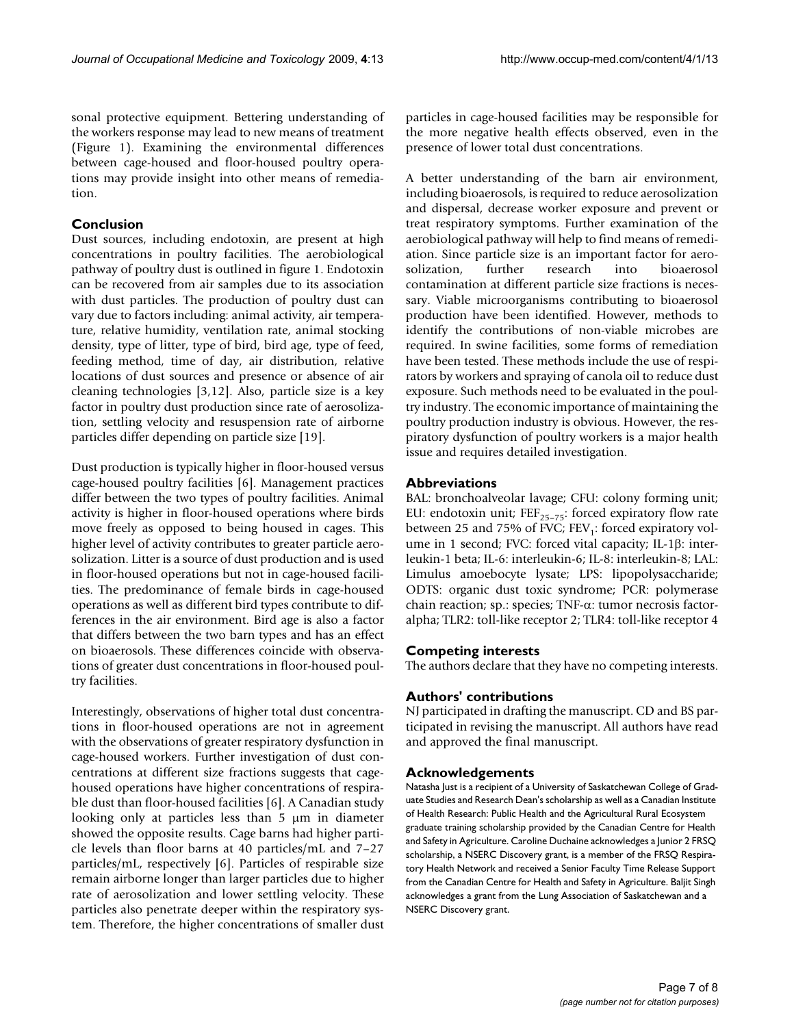sonal protective equipment. Bettering understanding of the workers response may lead to new means of treatment (Figure [1](#page-2-0)). Examining the environmental differences between cage-housed and floor-housed poultry operations may provide insight into other means of remediation.

### **Conclusion**

Dust sources, including endotoxin, are present at high concentrations in poultry facilities. The aerobiological pathway of poultry dust is outlined in figure [1](#page-2-0). Endotoxin can be recovered from air samples due to its association with dust particles. The production of poultry dust can vary due to factors including: animal activity, air temperature, relative humidity, ventilation rate, animal stocking density, type of litter, type of bird, bird age, type of feed, feeding method, time of day, air distribution, relative locations of dust sources and presence or absence of air cleaning technologies [[3](#page-7-2),[12\]](#page-7-15). Also, particle size is a key factor in poultry dust production since rate of aerosolization, settling velocity and resuspension rate of airborne particles differ depending on particle size [\[19](#page-7-16)].

Dust production is typically higher in floor-housed versus cage-housed poultry facilities [[6\]](#page-7-4). Management practices differ between the two types of poultry facilities. Animal activity is higher in floor-housed operations where birds move freely as opposed to being housed in cages. This higher level of activity contributes to greater particle aerosolization. Litter is a source of dust production and is used in floor-housed operations but not in cage-housed facilities. The predominance of female birds in cage-housed operations as well as different bird types contribute to differences in the air environment. Bird age is also a factor that differs between the two barn types and has an effect on bioaerosols. These differences coincide with observations of greater dust concentrations in floor-housed poultry facilities.

Interestingly, observations of higher total dust concentrations in floor-housed operations are not in agreement with the observations of greater respiratory dysfunction in cage-housed workers. Further investigation of dust concentrations at different size fractions suggests that cagehoused operations have higher concentrations of respirable dust than floor-housed facilities [[6](#page-7-4)]. A Canadian study looking only at particles less than 5 μm in diameter showed the opposite results. Cage barns had higher particle levels than floor barns at 40 particles/mL and 7–27 particles/mL, respectively [\[6\]](#page-7-4). Particles of respirable size remain airborne longer than larger particles due to higher rate of aerosolization and lower settling velocity. These particles also penetrate deeper within the respiratory system. Therefore, the higher concentrations of smaller dust particles in cage-housed facilities may be responsible for the more negative health effects observed, even in the presence of lower total dust concentrations.

A better understanding of the barn air environment, including bioaerosols, is required to reduce aerosolization and dispersal, decrease worker exposure and prevent or treat respiratory symptoms. Further examination of the aerobiological pathway will help to find means of remediation. Since particle size is an important factor for aerosolization, further research into bioaerosol contamination at different particle size fractions is necessary. Viable microorganisms contributing to bioaerosol production have been identified. However, methods to identify the contributions of non-viable microbes are required. In swine facilities, some forms of remediation have been tested. These methods include the use of respirators by workers and spraying of canola oil to reduce dust exposure. Such methods need to be evaluated in the poultry industry. The economic importance of maintaining the poultry production industry is obvious. However, the respiratory dysfunction of poultry workers is a major health issue and requires detailed investigation.

### **Abbreviations**

BAL: bronchoalveolar lavage; CFU: colony forming unit; EU: endotoxin unit;  $FEF_{25-75}$ : forced expiratory flow rate between 25 and 75% of FVC; FEV<sub>1</sub>: forced expiratory volume in 1 second; FVC: forced vital capacity; IL-1β: interleukin-1 beta; IL-6: interleukin-6; IL-8: interleukin-8; LAL: Limulus amoebocyte lysate; LPS: lipopolysaccharide; ODTS: organic dust toxic syndrome; PCR: polymerase chain reaction; sp.: species; TNF-α: tumor necrosis factoralpha; TLR2: toll-like receptor 2; TLR4: toll-like receptor 4

### **Competing interests**

The authors declare that they have no competing interests.

### **Authors' contributions**

NJ participated in drafting the manuscript. CD and BS participated in revising the manuscript. All authors have read and approved the final manuscript.

### **Acknowledgements**

Natasha Just is a recipient of a University of Saskatchewan College of Graduate Studies and Research Dean's scholarship as well as a Canadian Institute of Health Research: Public Health and the Agricultural Rural Ecosystem graduate training scholarship provided by the Canadian Centre for Health and Safety in Agriculture. Caroline Duchaine acknowledges a Junior 2 FRSQ scholarship, a NSERC Discovery grant, is a member of the FRSQ Respiratory Health Network and received a Senior Faculty Time Release Support from the Canadian Centre for Health and Safety in Agriculture. Baljit Singh acknowledges a grant from the Lung Association of Saskatchewan and a NSERC Discovery grant.